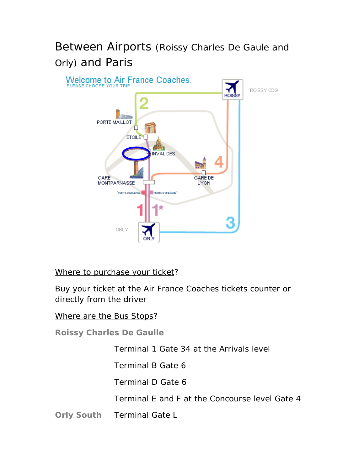# Between Airports (Roissy Charles De Gaule and Orly) and Paris



### Where to purchase your ticket?

Buy your ticket at the Air France Coaches tickets counter or directly from the driver

#### Where are the Bus Stops?

**Roissy Charles De Gaulle** 

Terminal 1 Gate 34 at the Arrivals level

Terminal B Gate 6

Terminal D Gate 6

Terminal E and F at the Concourse level Gate 4

**Orly South** Terminal Gate L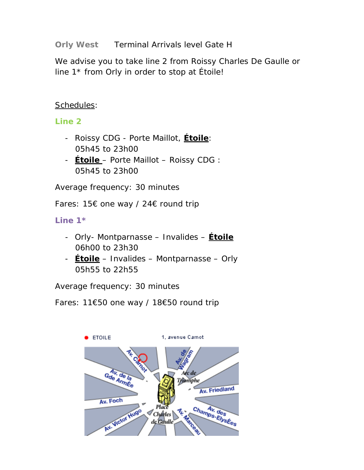**Orly West** Terminal Arrivals level Gate H

We advise you to take line 2 from Roissy Charles De Gaulle or line 1\* from Orly in order to stop at Étoile!

### Schedules:

### **Line 2**

- Roissy CDG Porte Maillot, **Étoile**: 05h45 to 23h00
- **Étoile**  Porte Maillot Roissy CDG : 05h45 to 23h00

Average frequency: 30 minutes

Fares: 15€ one way / 24€ round trip

**Line 1\*** 

- Orly- Montparnasse Invalides **Étoile** 06h00 to 23h30
- **Étoile** Invalides Montparnasse Orly 05h55 to 22h55

Average frequency: 30 minutes

Fares: 11€50 one way / 18€50 round trip

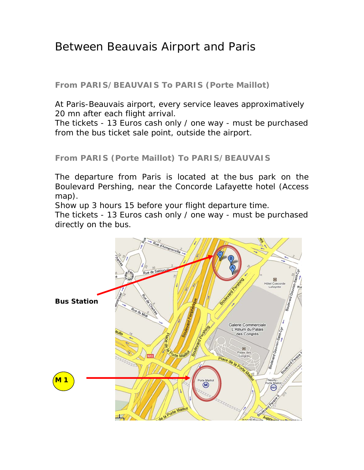## Between Beauvais Airport and Paris

**From PARIS/BEAUVAIS To PARIS (Porte Maillot)** 

At Paris-Beauvais airport, every service leaves approximatively 20 mn after each flight arrival.

The tickets - 13 Euros cash only / one way - must be purchased from the bus ticket sale point, outside the airport.

### **From PARIS (Porte Maillot) To PARIS/BEAUVAIS**

The departure from Paris is located at the bus park on the Boulevard Pershing, near the Concorde Lafayette hotel (Access map).

Show up 3 hours 15 before your flight departure time.

The tickets - 13 Euros cash only / one way - must be purchased directly on the bus.

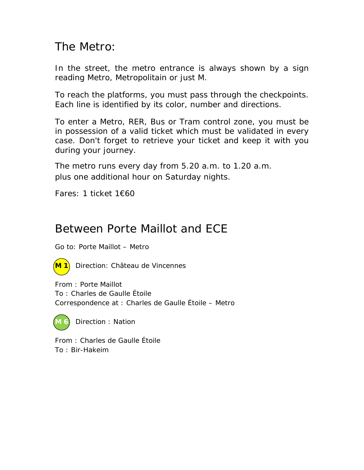## The Metro:

In the street, the metro entrance is always shown by a sign reading Metro, Metropolitain or just M.

To reach the platforms, you must pass through the checkpoints. Each line is identified by its color, number and directions.

To enter a Metro, RER, Bus or Tram control zone, you must be in possession of a valid ticket which must be validated in every case. Don't forget to retrieve your ticket and keep it with you during your journey.

The metro runs every day from 5.20 a.m. to 1.20 a.m. plus one additional hour on Saturday nights.

Fares: 1 ticket 1€60

## Between Porte Maillot and ECE

Go to: Porte Maillot – Metro



**M 1** Direction: Château de Vincennes

From : Porte Maillot To : Charles de Gaulle Étoile Correspondence at : Charles de Gaulle Étoile – Metro



**Direction : Nation** 

From : Charles de Gaulle Étoile To : Bir-Hakeim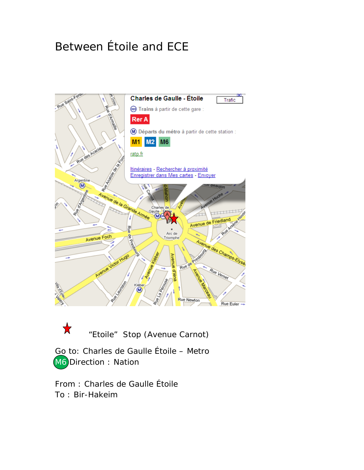# Between Étoile and ECE



**X** "Etoile" Stop (Avenue Carnot)

Go to: Charles de Gaulle Étoile – Metro M6 Direction : Nation

From : Charles de Gaulle Étoile To : Bir-Hakeim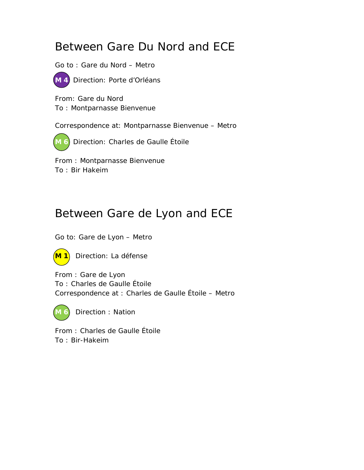# Between Gare Du Nord and ECE

Go to : Gare du Nord – Metro



**M 4** Direction: Porte d'Orléans

From: Gare du Nord To : Montparnasse Bienvenue

Correspondence at: Montparnasse Bienvenue – Metro

**M 6** Direction: Charles de Gaulle Étoile

From : Montparnasse Bienvenue To : Bir Hakeim

# Between Gare de Lyon and ECE

Go to: Gare de Lyon – Metro



**M 1** Direction: La défense

From : Gare de Lyon To : Charles de Gaulle Étoile Correspondence at : Charles de Gaulle Étoile – Metro



**Direction : Nation** 

From : Charles de Gaulle Étoile To : Bir-Hakeim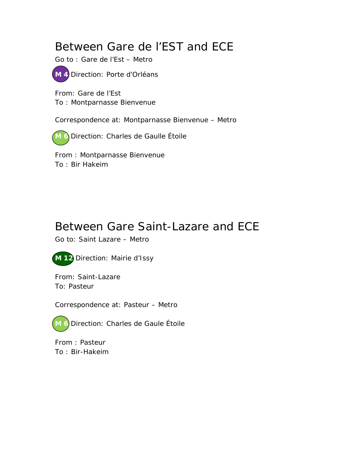# Between Gare de l'EST and ECE

Go to : Gare de l'Est – Metro



From: Gare de l'Est To : Montparnasse Bienvenue

Correspondence at: Montparnasse Bienvenue – Metro

**M 6** Direction: Charles de Gaulle Étoile

From : Montparnasse Bienvenue To : Bir Hakeim

# Between Gare Saint-Lazare and ECE

Go to: Saint Lazare – Metro



From: Saint-Lazare To: Pasteur

Correspondence at: Pasteur – Metro

**M 6** Direction: Charles de Gaule Étoile

From : Pasteur To : Bir-Hakeim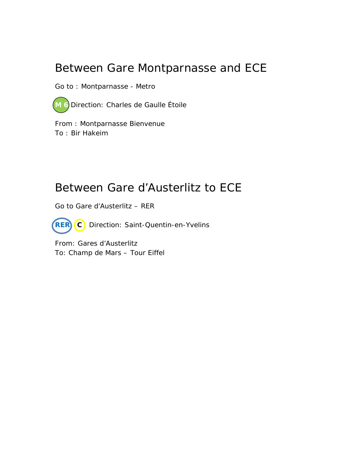## Between Gare Montparnasse and ECE

Go to : Montparnasse - Metro

**M 6** Direction: Charles de Gaulle Étoile

From : Montparnasse Bienvenue To : Bir Hakeim

## Between Gare d'Austerlitz to ECE

Go to Gare d'Austerlitz – RER

**RER C** Direction: Saint-Quentin-en-Yvelins

From: Gares d'Austerlitz To: Champ de Mars – Tour Eiffel